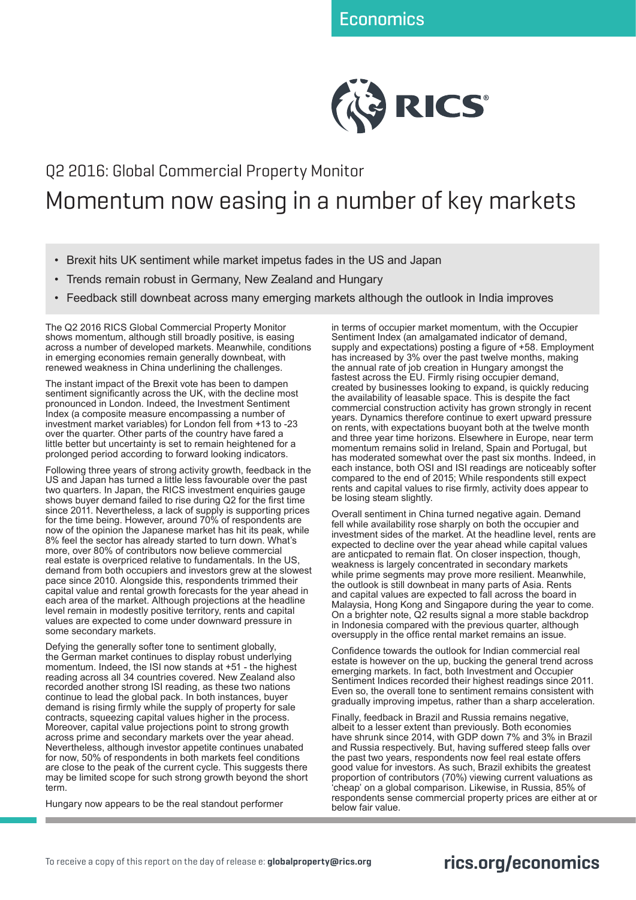

## Q2 2016: Global Commercial Property Monitor Momentum now easing in a number of key markets

- Brexit hits UK sentiment while market impetus fades in the US and Japan
- Trends remain robust in Germany, New Zealand and Hungary
- Feedback still downbeat across many emerging markets although the outlook in India improves

The Q2 2016 RICS Global Commercial Property Monitor shows momentum, although still broadly positive, is easing across a number of developed markets. Meanwhile, conditions in emerging economies remain generally downbeat, with renewed weakness in China underlining the challenges.

The instant impact of the Brexit vote has been to dampen sentiment significantly across the UK, with the decline most pronounced in London. Indeed, the Investment Sentiment Index (a composite measure encompassing a number of investment market variables) for London fell from +13 to -23 over the quarter. Other parts of the country have fared a little better but uncertainty is set to remain heightened for a prolonged period according to forward looking indicators.

Following three years of strong activity growth, feedback in the US and Japan has turned a little less favourable over the past two quarters. In Japan, the RICS investment enquiries gauge shows buyer demand failed to rise during Q2 for the first time since 2011. Nevertheless, a lack of supply is supporting prices for the time being. However, around 70% of respondents are now of the opinion the Japanese market has hit its peak, while 8% feel the sector has already started to turn down. What's more, over 80% of contributors now believe commercial real estate is overpriced relative to fundamentals. In the US, demand from both occupiers and investors grew at the slowest pace since 2010. Alongside this, respondents trimmed their capital value and rental growth forecasts for the year ahead in each area of the market. Although projections at the headline level remain in modestly positive territory, rents and capital values are expected to come under downward pressure in some secondary markets.

Defying the generally softer tone to sentiment globally, the German market continues to display robust underlying momentum. Indeed, the ISI now stands at +51 - the highest reading across all 34 countries covered. New Zealand also recorded another strong ISI reading, as these two nations continue to lead the global pack. In both instances, buyer demand is rising firmly while the supply of property for sale contracts, squeezing capital values higher in the process. Moreover, capital value projections point to strong growth across prime and secondary markets over the year ahead. Nevertheless, although investor appetite continues unabated for now, 50% of respondents in both markets feel conditions are close to the peak of the current cycle. This suggests there may be limited scope for such strong growth beyond the short term.

Hungary now appears to be the real standout performer

in terms of occupier market momentum, with the Occupier Sentiment Index (an amalgamated indicator of demand, supply and expectations) posting a figure of +58. Employment has increased by 3% over the past twelve months, making the annual rate of job creation in Hungary amongst the fastest across the EU. Firmly rising occupier demand, created by businesses looking to expand, is quickly reducing the availability of leasable space. This is despite the fact commercial construction activity has grown strongly in recent years. Dynamics therefore continue to exert upward pressure on rents, with expectations buoyant both at the twelve month and three year time horizons. Elsewhere in Europe, near term momentum remains solid in Ireland, Spain and Portugal, but has moderated somewhat over the past six months. Indeed, in each instance, both OSI and ISI readings are noticeably softer compared to the end of 2015; While respondents still expect rents and capital values to rise firmly, activity does appear to be losing steam slightly.

Overall sentiment in China turned negative again. Demand fell while availability rose sharply on both the occupier and investment sides of the market. At the headline level, rents are expected to decline over the year ahead while capital values are anticpated to remain flat. On closer inspection, though, weakness is largely concentrated in secondary markets while prime segments may prove more resilient. Meanwhile, the outlook is still downbeat in many parts of Asia. Rents and capital values are expected to fall across the board in Malaysia, Hong Kong and Singapore during the year to come. On a brighter note, Q2 results signal a more stable backdrop in Indonesia compared with the previous quarter, although oversupply in the office rental market remains an issue.

Confidence towards the outlook for Indian commercial real estate is however on the up, bucking the general trend across emerging markets. In fact, both Investment and Occupier Sentiment Indices recorded their highest readings since 2011. Even so, the overall tone to sentiment remains consistent with gradually improving impetus, rather than a sharp acceleration.

Finally, feedback in Brazil and Russia remains negative, albeit to a lesser extent than previously. Both economies have shrunk since 2014, with GDP down 7% and 3% in Brazil and Russia respectively. But, having suffered steep falls over the past two years, respondents now feel real estate offers good value for investors. As such, Brazil exhibits the greatest proportion of contributors (70%) viewing current valuations as 'cheap' on a global comparison. Likewise, in Russia, 85% of respondents sense commercial property prices are either at or below fair value.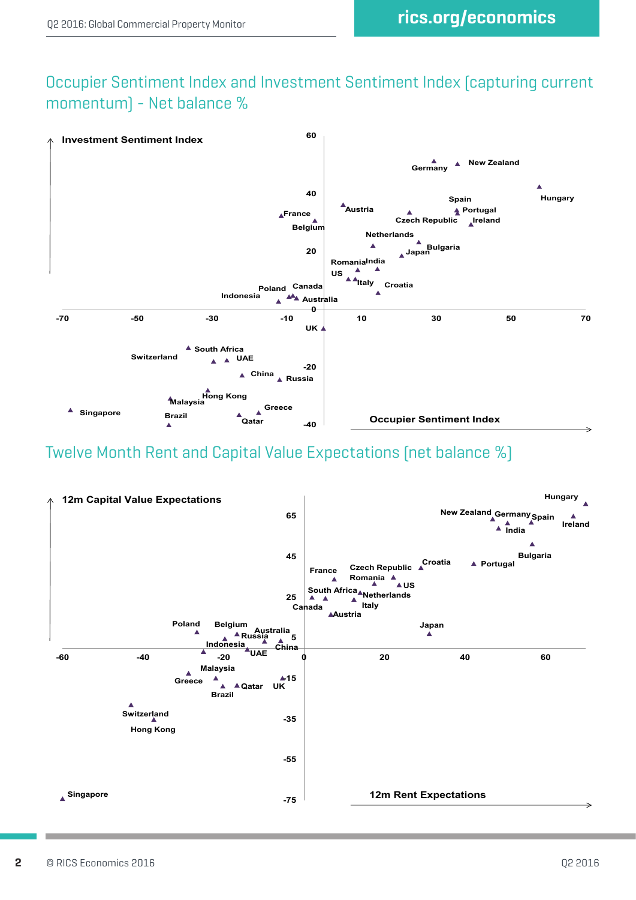## Occupier Sentiment Index and Investment Sentiment Index (capturing current momentum) - Net balance %



## Twelve Month Rent and Capital Value Expectations (net balance %)

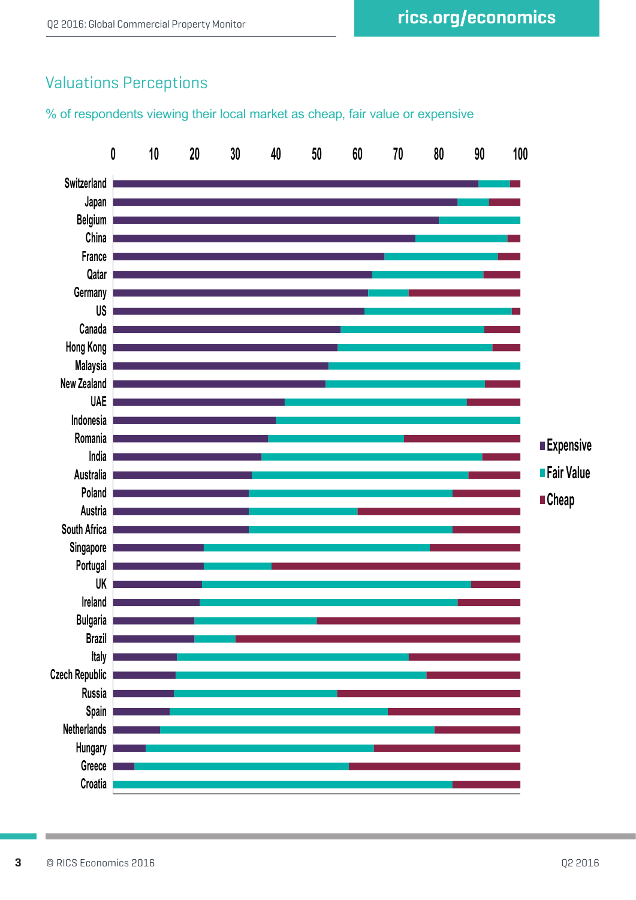## Valuations Perceptions

% of respondents viewing their local market as cheap, fair value or expensive

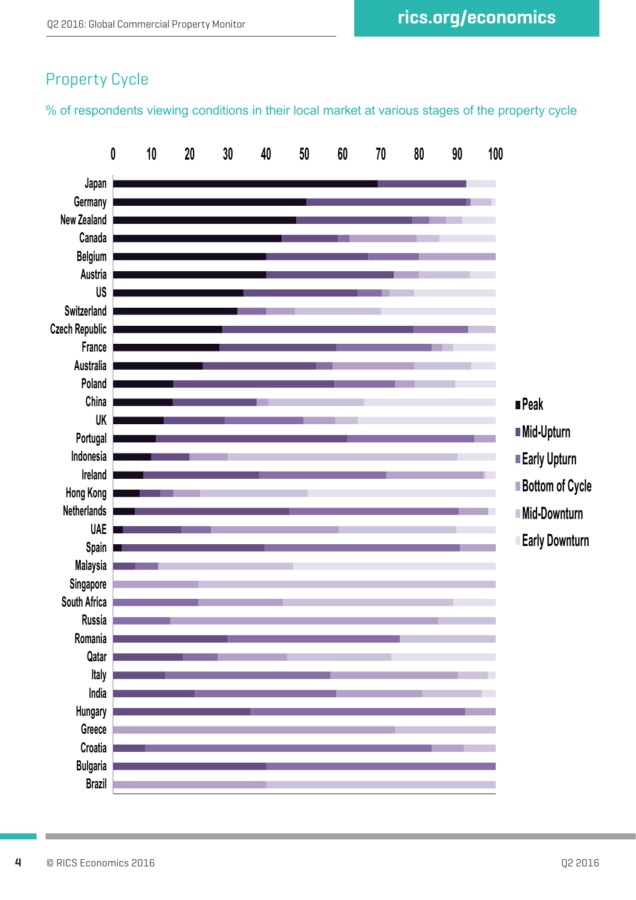## Property Cycle

% of respondents viewing conditions in their local market at various stages of the property cycle

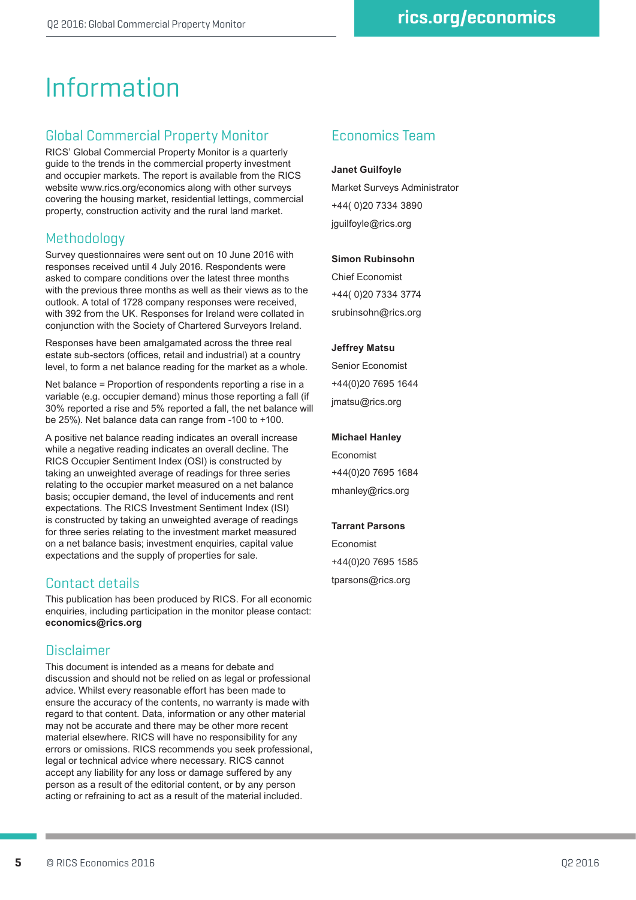# Information

## Global Commercial Property Monitor

RICS' Global Commercial Property Monitor is a quarterly guide to the trends in the commercial property investment and occupier markets. The report is available from the RICS website www.rics.org/economics along with other surveys covering the housing market, residential lettings, commercial property, construction activity and the rural land market.

## **Methodology**

Survey questionnaires were sent out on 10 June 2016 with responses received until 4 July 2016. Respondents were asked to compare conditions over the latest three months with the previous three months as well as their views as to the outlook. A total of 1728 company responses were received, with 392 from the UK. Responses for Ireland were collated in conjunction with the Society of Chartered Surveyors Ireland.

Responses have been amalgamated across the three real estate sub-sectors (offices, retail and industrial) at a country level, to form a net balance reading for the market as a whole.

Net balance = Proportion of respondents reporting a rise in a variable (e.g. occupier demand) minus those reporting a fall (if 30% reported a rise and 5% reported a fall, the net balance will be 25%). Net balance data can range from -100 to +100.

A positive net balance reading indicates an overall increase while a negative reading indicates an overall decline. The RICS Occupier Sentiment Index (OSI) is constructed by taking an unweighted average of readings for three series relating to the occupier market measured on a net balance basis; occupier demand, the level of inducements and rent expectations. The RICS Investment Sentiment Index (ISI) is constructed by taking an unweighted average of readings for three series relating to the investment market measured on a net balance basis; investment enquiries, capital value expectations and the supply of properties for sale.

## Contact details

This publication has been produced by RICS. For all economic enquiries, including participation in the monitor please contact: **economics@rics.org**

## Disclaimer

This document is intended as a means for debate and discussion and should not be relied on as legal or professional advice. Whilst every reasonable effort has been made to ensure the accuracy of the contents, no warranty is made with regard to that content. Data, information or any other material may not be accurate and there may be other more recent material elsewhere. RICS will have no responsibility for any errors or omissions. RICS recommends you seek professional, legal or technical advice where necessary. RICS cannot accept any liability for any loss or damage suffered by any person as a result of the editorial content, or by any person acting or refraining to act as a result of the material included.

## Economics Team

**Janet Guilfoyle**

Market Surveys Administrator +44( 0)20 7334 3890 jguilfoyle@rics.org

#### **Simon Rubinsohn**

Chief Economist +44( 0)20 7334 3774 srubinsohn@rics.org

#### **Jeffrey Matsu**

Senior Economist +44(0)20 7695 1644 jmatsu@rics.org

### **Michael Hanley**

Economist +44(0)20 7695 1684 mhanley@rics.org

#### **Tarrant Parsons**

Economist +44(0)20 7695 1585 tparsons@rics.org